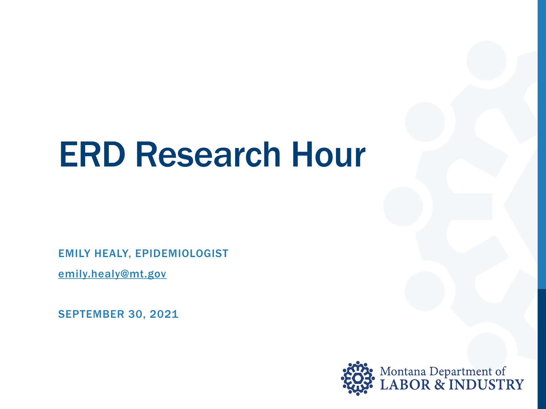# ERD Research Hour

EMILY HEALY, EPIDEMIOLOGIST

[emily.healy@mt.gov](mailto:emily.healy@mt.gov) 

SEPTEMBER 30, 2021

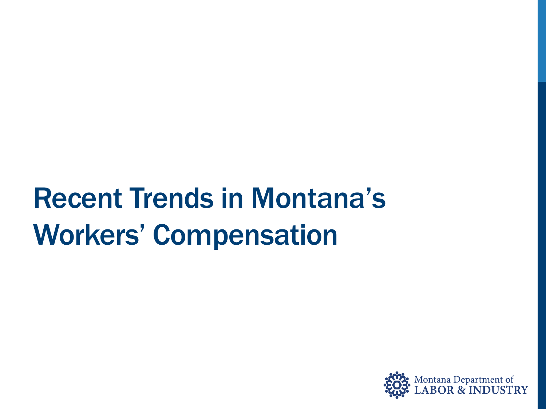## Recent Trends in Montana's Workers' Compensation

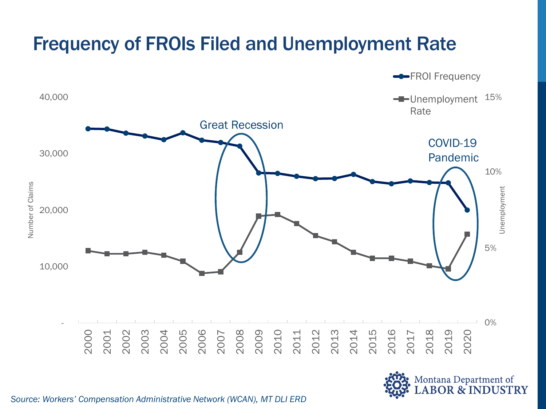

*Source: Workers' Compensation Administrative Network (WCAN), MT DLI ERD*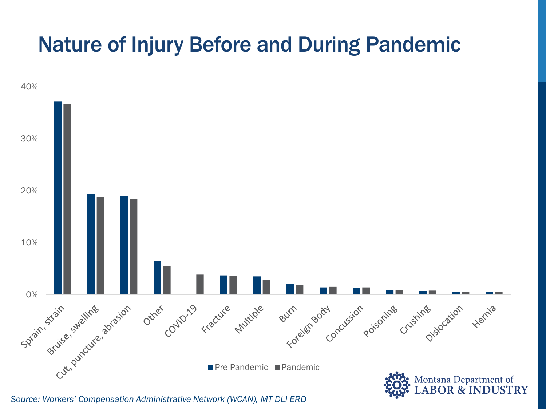#### Nature of Injury Before and During Pandemic



*Source: Workers' Compensation Administrative Network (WCAN), MT DLI ERD*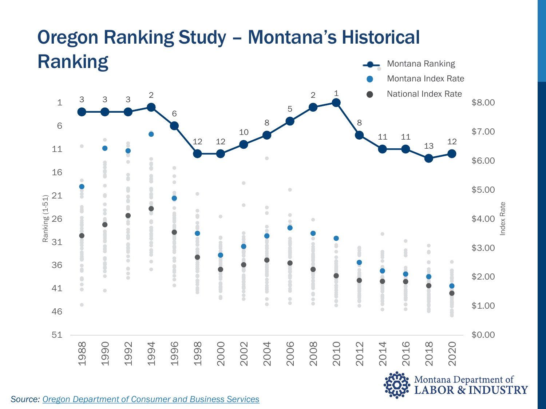#### Ranking Montana Ranking Montana Index Rate National Index Rate2 1 2 3 3 3  $1 \t3 \t3 \t3 \t58.00$ 5 6 8 8 6 \$7.00 10 11 11 12 12  $13 \t 12$ 11 \$6.00  $\bullet$ ſ 16 \$5.00  $\begin{array}{c} \bullet \\ \bullet \end{array}$ 21 Ranking (1-51) 8 Ranking (1-51) Index Rate Ŏ  $\triangle$  $\triangle$  $\hfill \textcircled{\ensuremath{\mathfrak{g}}}\hfill \textcircled{\ensuremath{\mathfrak{g}}}\hfill \textcircled{\ensuremath{\mathfrak{g}}}\hfill \textcircled{\ensuremath{\mathfrak{g}}}\hfill \textcircled{\ensuremath{\mathfrak{g}}}\hfill \textcircled{\ensuremath{\mathfrak{g}}}\hfill \textcircled{\ensuremath{\mathfrak{g}}}\hfill \textcircled{\ensuremath{\mathfrak{g}}}\hfill \textcircled{\ensuremath{\mathfrak{g}}}\hfill \textcircled{\ensuremath{\mathfrak{g}}}\hfill \textcircled{\ensuremath{\mathfrak{g}}}\hfill \textcircled{\ensuremath{\mathfrak{g}}}\hfill \textcircled{\ensuremath{\mathfrak{g$  $\bullet$  $\bullet$ 26 Ċ \$4.00  $\bullet$ 31  $\bigcirc$ \$3.00 ſ  $\begin{array}{c} \bullet \\ \bullet \end{array}$  $\tilde{\circ}$  $\begin{array}{c} \bullet \\ \bullet \end{array}$ 36  $\ddot{\phantom{a}}$  $\bullet$ \$2.00  $\bullet$  $\bullet$  $\begin{array}{ccc} \bullet & \bullet & \bullet \\ \bullet & \bullet & \bullet \end{array}$ 41 ò  $\blacksquare$  $\bullet$ C  $\bullet$  $\overline{\phantom{a}}$  $\ddot{\bullet}$ \$1.00  $\bigcirc$ 46 51 \$0.00 1996 2004 2006 2016 2018 1988 1990 1992 1994 1998 2000 2002 2008 2010 2012 2014 2020 Montana Department of<br>LABOR & INDUSTRY

# Oregon Ranking Study – Montana's Historical

*Source: [Oregon Department of Consumer and Business Services](https://www.oregon.gov/dcbs/Pages/index.aspx)*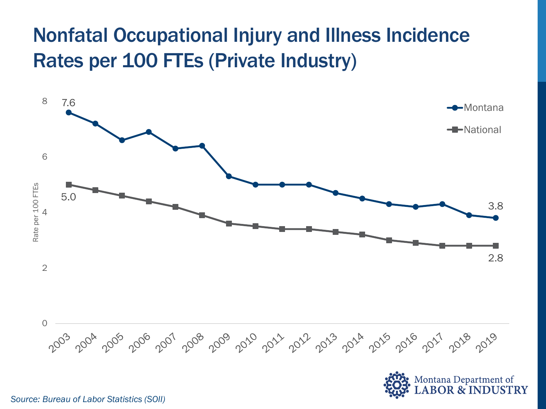#### Nonfatal Occupational Injury and Illness Incidence Rates per 100 FTEs (Private Industry)





*Source: Bureau of Labor Statistics (SOII)*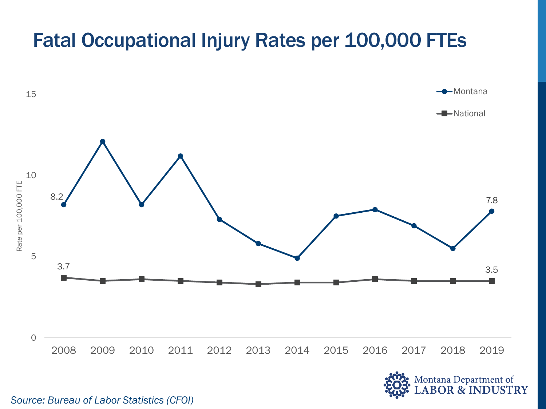#### Fatal Occupational Injury Rates per 100,000 FTEs





*Source: Bureau of Labor Statistics (CFOI)*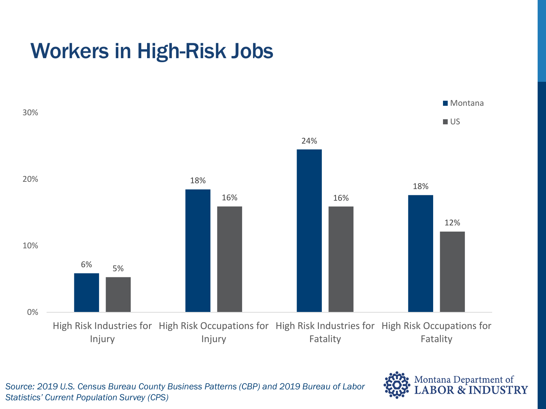### Workers in High-Risk Jobs





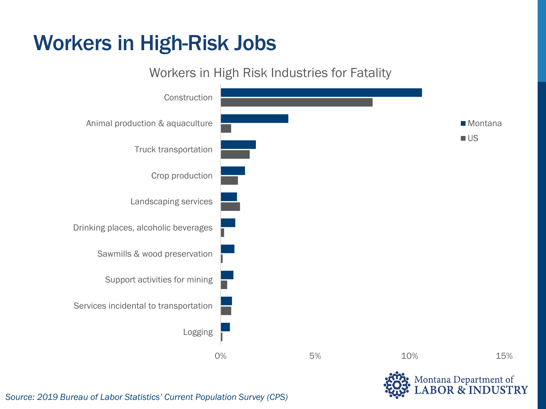#### Workers in High-Risk Jobs



*Source: 2019 Bureau of Labor Statistics' Current Population Survey (CPS)*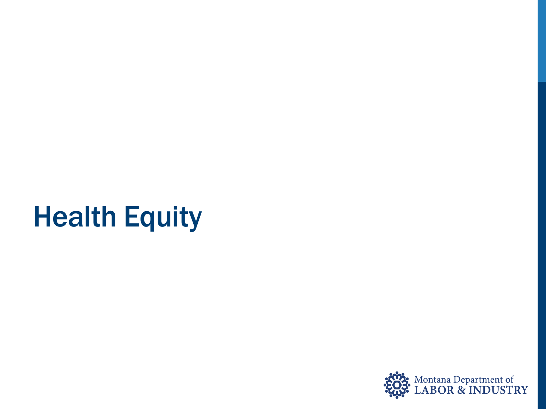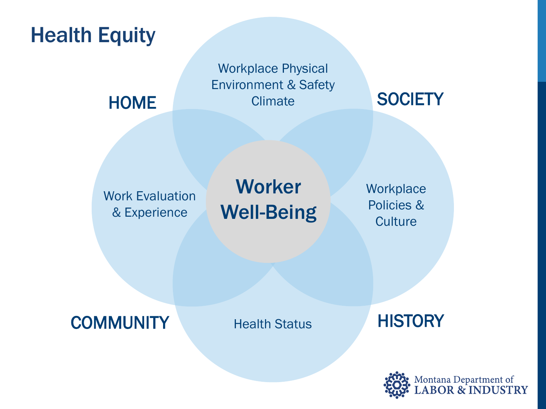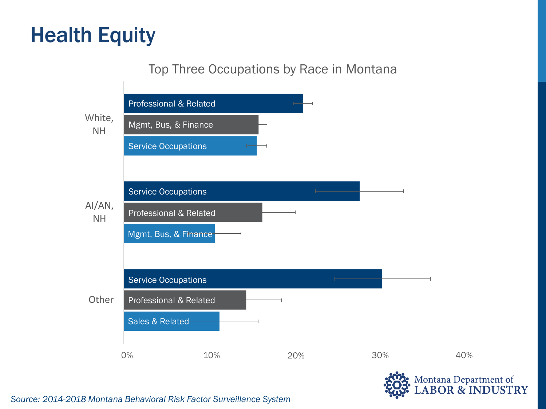#### Top Three Occupations by Race in Montana



*Source: 2014-2018 Montana Behavioral Risk Factor Surveillance System*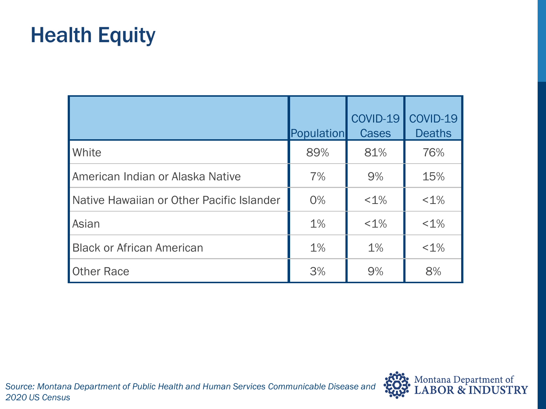|                                           | <b>Population</b> | COVID-19<br><b>Cases</b> | COVID-19<br><b>Deaths</b> |
|-------------------------------------------|-------------------|--------------------------|---------------------------|
| White                                     | 89%               | 81%                      | 76%                       |
| American Indian or Alaska Native          | 7%                | 9%                       | 15%                       |
| Native Hawaiian or Other Pacific Islander | 0%                | $< 1\%$                  | $< 1\%$                   |
| Asian                                     | 1%                | $< 1\%$                  | $< 1\%$                   |
| <b>Black or African American</b>          | 1%                | 1%                       | $< 1\%$                   |
| <b>Other Race</b>                         | 3%                | 9%                       | 8%                        |

*Source: Montana Department of Public Health and Human Services Communicable Disease and 2020 US Census*

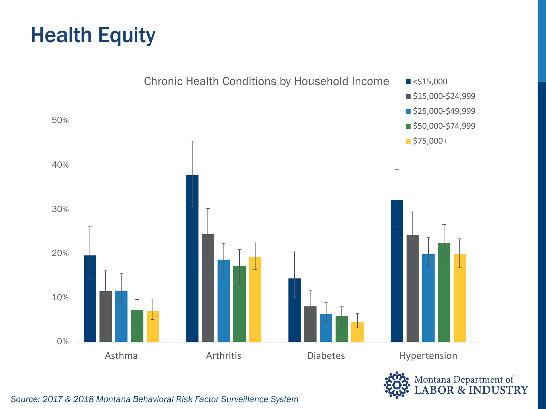



*Source: 2017 & 2018 Montana Behavioral Risk Factor Surveillance System*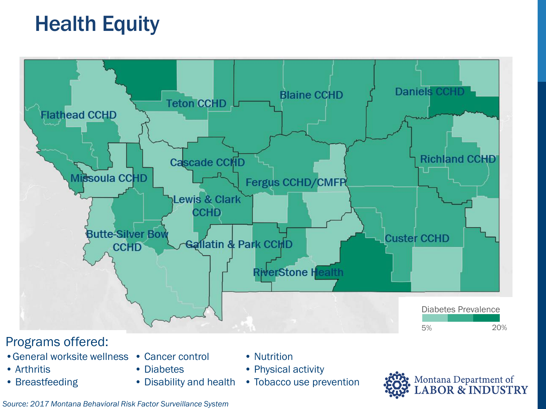

#### Programs offered:

- •General worksite wellness Cancer control
- Arthritis
- Breastfeeding
- Diabetes
- Disability and health
- Nutrition
- Physical activity
- Tobacco use prevention



*Source: 2017 Montana Behavioral Risk Factor Surveillance System*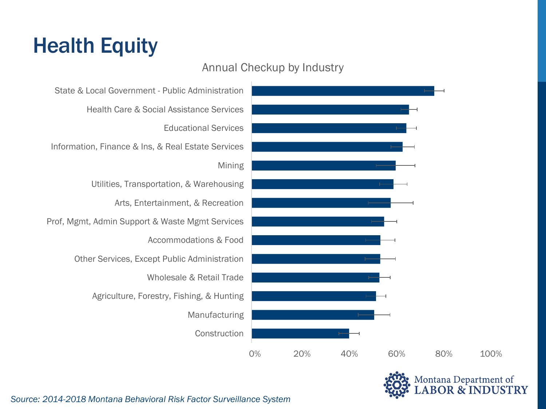#### Annual Checkup by Industry

State & Local Government - Public Administration Health Care & Social Assistance Services Educational Services Information, Finance & Ins, & Real Estate Services Mining Utilities, Transportation, & Warehousing Arts, Entertainment, & Recreation Prof, Mgmt, Admin Support & Waste Mgmt Services Accommodations & Food Other Services, Except Public Administration Wholesale & Retail Trade Agriculture, Forestry, Fishing, & Hunting Manufacturing Construction





*Source: 2014-2018 Montana Behavioral Risk Factor Surveillance System*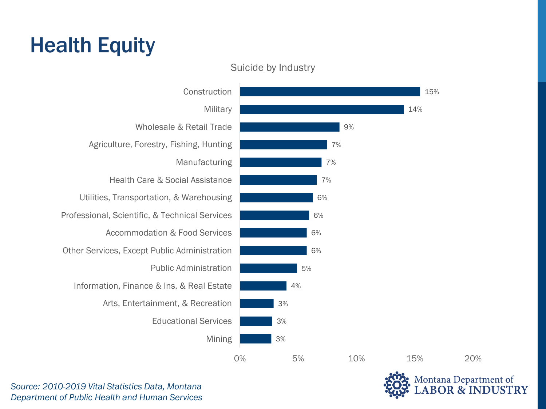

Suicide by Industry

*Source: 2010-2019 Vital Statistics Data, Montana Department of Public Health and Human Services*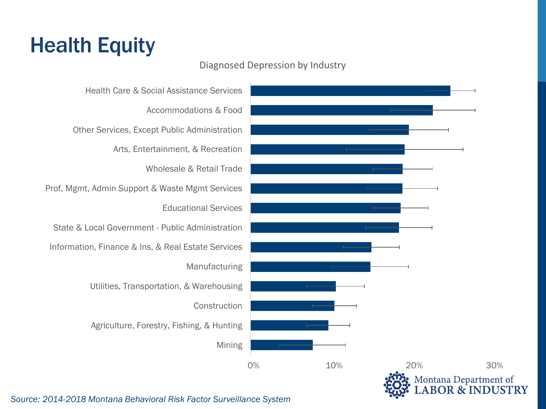#### Diagnosed Depression by Industry

Health Care & Social Assistance Services Accommodations & Food Other Services, Except Public Administration Arts, Entertainment, & Recreation Wholesale & Retail Trade Prof, Mgmt, Admin Support & Waste Mgmt Services Educational Services State & Local Government - Public Administration Information, Finance & Ins, & Real Estate Services Manufacturing Utilities, Transportation, & Warehousing Construction Agriculture, Forestry, Fishing, & Hunting Mining



**DUSTRY** 

*Source: 2014-2018 Montana Behavioral Risk Factor Surveillance System*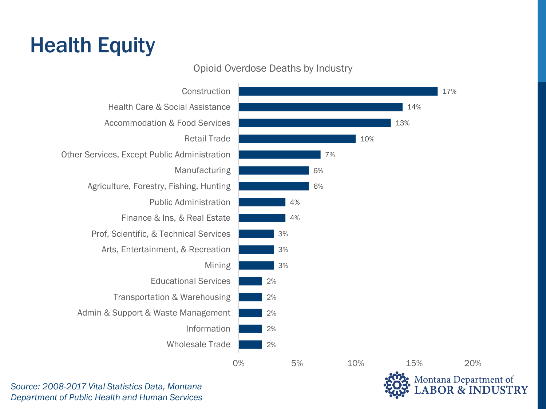#### Opioid Overdose Deaths by Industry



**JSTRY** 

*Source: 2008-2017 Vital Statistics Data, Montana Department of Public Health and Human Services*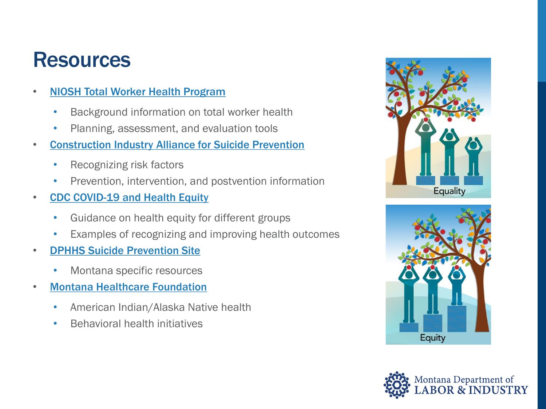#### **Resources**

- [NIOSH Total Worker Health Program](https://www.cdc.gov/niosh/twh/default.html)
	- Background information on total worker health
	- Planning, assessment, and evaluation tools
- [Construction Industry Alliance for Suicide Prevention](https://preventconstructionsuicide.com/)
	- Recognizing risk factors
	- Prevention, intervention, and postvention information
- [CDC COVID-19 and Health Equity](https://www.cdc.gov/coronavirus/2019-ncov/community/health-equity/index.html)
	- Guidance on health equity for different groups
	- Examples of recognizing and improving health outcomes
- [DPHHS Suicide Prevention Site](https://dphhs.mt.gov/suicideprevention/suicideresources)
	- Montana specific resources
- [Montana Healthcare Foundation](https://mthcf.org/)
	- American Indian/Alaska Native health
	- Behavioral health initiatives